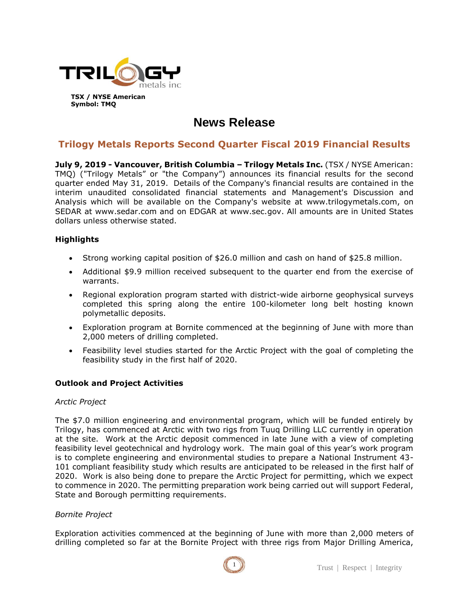

# **News Release**

## **Trilogy Metals Reports Second Quarter Fiscal 2019 Financial Results**

**July 9, 2019 - Vancouver, British Columbia – Trilogy Metals Inc.** (TSX / NYSE American: TMQ) ("Trilogy Metals" or "the Company") announces its financial results for the second quarter ended May 31, 2019. Details of the Company's financial results are contained in the interim unaudited consolidated financial statements and Management's Discussion and Analysis which will be available on the Company's website at www.trilogymetals.com, on SEDAR at www.sedar.com and on EDGAR at www.sec.gov. All amounts are in United States dollars unless otherwise stated.

## **Highlights**

- Strong working capital position of \$26.0 million and cash on hand of \$25.8 million.
- Additional \$9.9 million received subsequent to the quarter end from the exercise of warrants.
- Regional exploration program started with district-wide airborne geophysical surveys completed this spring along the entire 100-kilometer long belt hosting known polymetallic deposits.
- Exploration program at Bornite commenced at the beginning of June with more than 2,000 meters of drilling completed.
- Feasibility level studies started for the Arctic Project with the goal of completing the feasibility study in the first half of 2020.

## **Outlook and Project Activities**

## *Arctic Project*

The \$7.0 million engineering and environmental program, which will be funded entirely by Trilogy, has commenced at Arctic with two rigs from Tuuq Drilling LLC currently in operation at the site. Work at the Arctic deposit commenced in late June with a view of completing feasibility level geotechnical and hydrology work. The main goal of this year's work program is to complete engineering and environmental studies to prepare a National Instrument 43- 101 compliant feasibility study which results are anticipated to be released in the first half of 2020. Work is also being done to prepare the Arctic Project for permitting, which we expect to commence in 2020. The permitting preparation work being carried out will support Federal, State and Borough permitting requirements.

## *Bornite Project*

Exploration activities commenced at the beginning of June with more than 2,000 meters of drilling completed so far at the Bornite Project with three rigs from Major Drilling America,

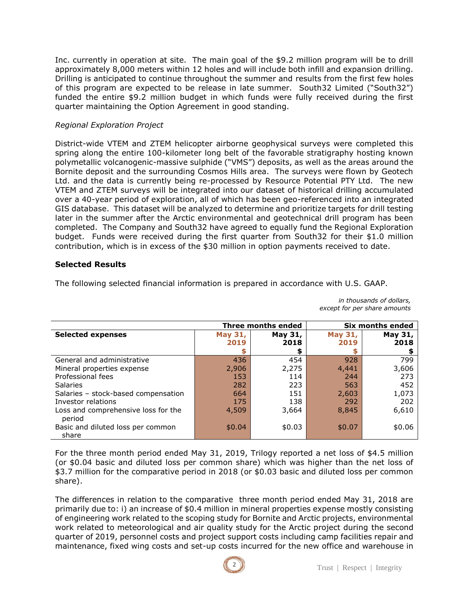Inc. currently in operation at site. The main goal of the \$9.2 million program will be to drill approximately 8,000 meters within 12 holes and will include both infill and expansion drilling. Drilling is anticipated to continue throughout the summer and results from the first few holes of this program are expected to be release in late summer. South32 Limited ("South32") funded the entire \$9.2 million budget in which funds were fully received during the first quarter maintaining the Option Agreement in good standing.

## *Regional Exploration Project*

District-wide VTEM and ZTEM helicopter airborne geophysical surveys were completed this spring along the entire 100-kilometer long belt of the favorable stratigraphy hosting known polymetallic volcanogenic-massive sulphide ("VMS") deposits, as well as the areas around the Bornite deposit and the surrounding Cosmos Hills area. The surveys were flown by Geotech Ltd. and the data is currently being re-processed by Resource Potential PTY Ltd. The new VTEM and ZTEM surveys will be integrated into our dataset of historical drilling accumulated over a 40-year period of exploration, all of which has been geo-referenced into an integrated GIS database. This dataset will be analyzed to determine and prioritize targets for drill testing later in the summer after the Arctic environmental and geotechnical drill program has been completed. The Company and South32 have agreed to equally fund the Regional Exploration budget. Funds were received during the first quarter from South32 for their \$1.0 million contribution, which is in excess of the \$30 million in option payments received to date.

## **Selected Results**

The following selected financial information is prepared in accordance with U.S. GAAP.

|                                               |                | Three months ended | Six months ended |         |
|-----------------------------------------------|----------------|--------------------|------------------|---------|
| <b>Selected expenses</b>                      | <b>May 31,</b> | May 31,            | <b>May 31,</b>   | May 31, |
|                                               | 2019           | 2018               | 2019             | 2018    |
|                                               |                | \$                 | S                |         |
| General and administrative                    | 436            | 454                | 928              | 799     |
| Mineral properties expense                    | 2,906          | 2,275              | 4,441            | 3,606   |
| Professional fees                             | 153            | 114                | 244              | 273     |
| Salaries                                      | 282            | 223                | 563              | 452     |
| Salaries - stock-based compensation           | 664            | 151                | 2,603            | 1,073   |
| Investor relations                            | 175            | 138                | 292              | 202     |
| Loss and comprehensive loss for the<br>period | 4,509          | 3,664              | 8,845            | 6,610   |
| Basic and diluted loss per common<br>share    | \$0.04         | \$0.03             | \$0.07           | \$0.06  |

*in thousands of dollars, except for per share amounts*

For the three month period ended May 31, 2019, Trilogy reported a net loss of \$4.5 million (or \$0.04 basic and diluted loss per common share) which was higher than the net loss of \$3.7 million for the comparative period in 2018 (or \$0.03 basic and diluted loss per common share).

The differences in relation to the comparative three month period ended May 31, 2018 are primarily due to: i) an increase of \$0.4 million in mineral properties expense mostly consisting of engineering work related to the scoping study for Bornite and Arctic projects, environmental work related to meteorological and air quality study for the Arctic project during the second quarter of 2019, personnel costs and project support costs including camp facilities repair and maintenance, fixed wing costs and set-up costs incurred for the new office and warehouse in

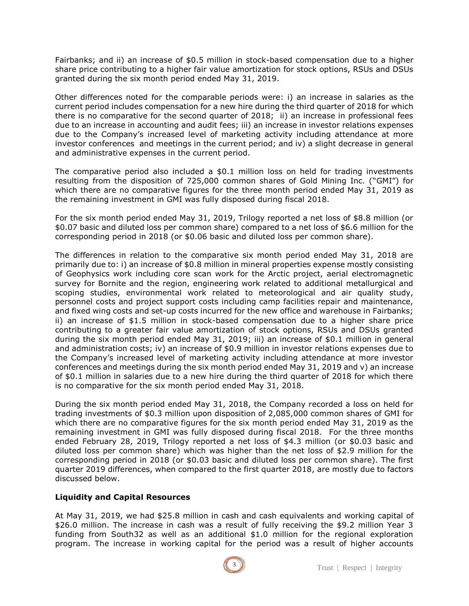Fairbanks; and ii) an increase of \$0.5 million in stock-based compensation due to a higher share price contributing to a higher fair value amortization for stock options, RSUs and DSUs granted during the six month period ended May 31, 2019.

Other differences noted for the comparable periods were: i) an increase in salaries as the current period includes compensation for a new hire during the third quarter of 2018 for which there is no comparative for the second quarter of 2018; ii) an increase in professional fees due to an increase in accounting and audit fees; iii) an increase in investor relations expenses due to the Company's increased level of marketing activity including attendance at more investor conferences and meetings in the current period; and iv) a slight decrease in general and administrative expenses in the current period.

The comparative period also included a \$0.1 million loss on held for trading investments resulting from the disposition of 725,000 common shares of Gold Mining Inc. ("GMI") for which there are no comparative figures for the three month period ended May 31, 2019 as the remaining investment in GMI was fully disposed during fiscal 2018.

For the six month period ended May 31, 2019, Trilogy reported a net loss of \$8.8 million (or \$0.07 basic and diluted loss per common share) compared to a net loss of \$6.6 million for the corresponding period in 2018 (or \$0.06 basic and diluted loss per common share).

The differences in relation to the comparative six month period ended May 31, 2018 are primarily due to: i) an increase of \$0.8 million in mineral properties expense mostly consisting of Geophysics work including core scan work for the Arctic project, aerial electromagnetic survey for Bornite and the region, engineering work related to additional metallurgical and scoping studies, environmental work related to meteorological and air quality study, personnel costs and project support costs including camp facilities repair and maintenance, and fixed wing costs and set-up costs incurred for the new office and warehouse in Fairbanks; ii) an increase of \$1.5 million in stock-based compensation due to a higher share price contributing to a greater fair value amortization of stock options, RSUs and DSUs granted during the six month period ended May 31, 2019; iii) an increase of \$0.1 million in general and administration costs; iv) an increase of \$0.9 million in investor relations expenses due to the Company's increased level of marketing activity including attendance at more investor conferences and meetings during the six month period ended May 31, 2019 and v) an increase of \$0.1 million in salaries due to a new hire during the third quarter of 2018 for which there is no comparative for the six month period ended May 31, 2018.

During the six month period ended May 31, 2018, the Company recorded a loss on held for trading investments of \$0.3 million upon disposition of 2,085,000 common shares of GMI for which there are no comparative figures for the six month period ended May 31, 2019 as the remaining investment in GMI was fully disposed during fiscal 2018. For the three months ended February 28, 2019, Trilogy reported a net loss of \$4.3 million (or \$0.03 basic and diluted loss per common share) which was higher than the net loss of \$2.9 million for the corresponding period in 2018 (or \$0.03 basic and diluted loss per common share). The first quarter 2019 differences, when compared to the first quarter 2018, are mostly due to factors discussed below.

## **Liquidity and Capital Resources**

At May 31, 2019, we had \$25.8 million in cash and cash equivalents and working capital of \$26.0 million. The increase in cash was a result of fully receiving the \$9.2 million Year 3 funding from South32 as well as an additional \$1.0 million for the regional exploration program. The increase in working capital for the period was a result of higher accounts

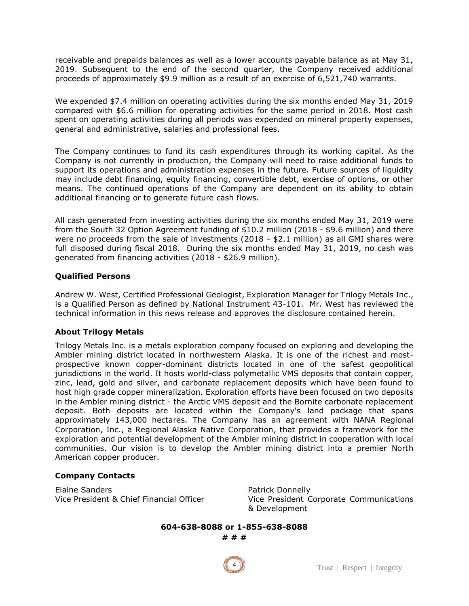receivable and prepaids balances as well as a lower accounts payable balance as at May 31, 2019. Subsequent to the end of the second quarter, the Company received additional proceeds of approximately \$9.9 million as a result of an exercise of 6,521,740 warrants.

We expended \$7.4 million on operating activities during the six months ended May 31, 2019 compared with \$6.6 million for operating activities for the same period in 2018. Most cash spent on operating activities during all periods was expended on mineral property expenses, general and administrative, salaries and professional fees.

The Company continues to fund its cash expenditures through its working capital. As the Company is not currently in production, the Company will need to raise additional funds to support its operations and administration expenses in the future. Future sources of liquidity may include debt financing, equity financing, convertible debt, exercise of options, or other means. The continued operations of the Company are dependent on its ability to obtain additional financing or to generate future cash flows.

All cash generated from investing activities during the six months ended May 31, 2019 were from the South 32 Option Agreement funding of \$10.2 million (2018 - \$9.6 million) and there were no proceeds from the sale of investments (2018 - \$2.1 million) as all GMI shares were full disposed during fiscal 2018. During the six months ended May 31, 2019, no cash was generated from financing activities (2018 - \$26.9 million).

## **Qualified Persons**

Andrew W. West, Certified Professional Geologist, Exploration Manager for Trilogy Metals Inc., is a Qualified Person as defined by National Instrument 43-101. Mr. West has reviewed the technical information in this news release and approves the disclosure contained herein.

## **About Trilogy Metals**

Trilogy Metals Inc. is a metals exploration company focused on exploring and developing the Ambler mining district located in northwestern Alaska. It is one of the richest and mostprospective known copper-dominant districts located in one of the safest geopolitical jurisdictions in the world. It hosts world-class polymetallic VMS deposits that contain copper, zinc, lead, gold and silver, and carbonate replacement deposits which have been found to host high grade copper mineralization. Exploration efforts have been focused on two deposits in the Ambler mining district - the Arctic VMS deposit and the Bornite carbonate replacement deposit. Both deposits are located within the Company's land package that spans approximately 143,000 hectares. The Company has an agreement with NANA Regional Corporation, Inc., a Regional Alaska Native Corporation, that provides a framework for the exploration and potential development of the Ambler mining district in cooperation with local communities. Our vision is to develop the Ambler mining district into a premier North American copper producer.

## **Company Contacts**

Elaine Sanders **Patrick Donnelly** 

Vice President & Chief Financial Officer Vice President Corporate Communications & Development

#### **604-638-8088 or 1-855-638-8088**

**# # #**

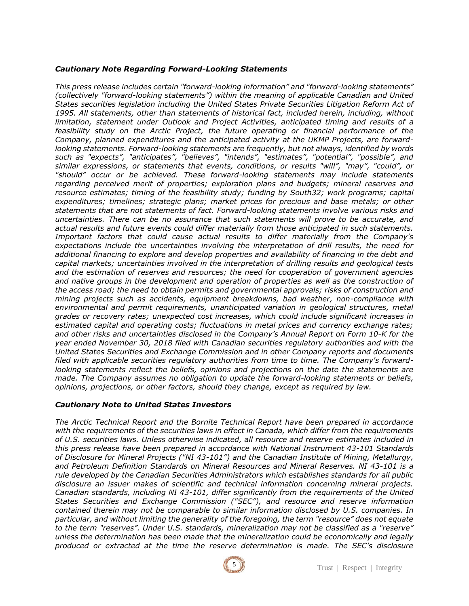## *Cautionary Note Regarding Forward-Looking Statements*

*This press release includes certain "forward-looking information" and "forward-looking statements" (collectively "forward-looking statements") within the meaning of applicable Canadian and United States securities legislation including the United States Private Securities Litigation Reform Act of 1995. All statements, other than statements of historical fact, included herein, including, without limitation, statement under Outlook and Project Activities, anticipated timing and results of a feasibility study on the Arctic Project, the future operating or financial performance of the Company, planned expenditures and the anticipated activity at the UKMP Projects, are forwardlooking statements. Forward-looking statements are frequently, but not always, identified by words such as "expects", "anticipates", "believes", "intends", "estimates", "potential", "possible", and similar expressions, or statements that events, conditions, or results "will", "may", "could", or "should" occur or be achieved. These forward-looking statements may include statements regarding perceived merit of properties; exploration plans and budgets; mineral reserves and resource estimates; timing of the feasibility study; funding by South32; work programs; capital expenditures; timelines; strategic plans; market prices for precious and base metals; or other statements that are not statements of fact. Forward-looking statements involve various risks and uncertainties. There can be no assurance that such statements will prove to be accurate, and actual results and future events could differ materially from those anticipated in such statements. Important factors that could cause actual results to differ materially from the Company's expectations include the uncertainties involving the interpretation of drill results, the need for additional financing to explore and develop properties and availability of financing in the debt and capital markets; uncertainties involved in the interpretation of drilling results and geological tests and the estimation of reserves and resources; the need for cooperation of government agencies and native groups in the development and operation of properties as well as the construction of the access road; the need to obtain permits and governmental approvals; risks of construction and mining projects such as accidents, equipment breakdowns, bad weather, non-compliance with environmental and permit requirements, unanticipated variation in geological structures, metal grades or recovery rates; unexpected cost increases, which could include significant increases in estimated capital and operating costs; fluctuations in metal prices and currency exchange rates; and other risks and uncertainties disclosed in the Company's Annual Report on Form 10-K for the year ended November 30, 2018 filed with Canadian securities regulatory authorities and with the United States Securities and Exchange Commission and in other Company reports and documents filed with applicable securities regulatory authorities from time to time. The Company's forwardlooking statements reflect the beliefs, opinions and projections on the date the statements are made. The Company assumes no obligation to update the forward-looking statements or beliefs, opinions, projections, or other factors, should they change, except as required by law.*

#### *Cautionary Note to United States Investors*

*The Arctic Technical Report and the Bornite Technical Report have been prepared in accordance with the requirements of the securities laws in effect in Canada, which differ from the requirements of U.S. securities laws. Unless otherwise indicated, all resource and reserve estimates included in this press release have been prepared in accordance with National Instrument 43-101 Standards of Disclosure for Mineral Projects ("NI 43-101") and the Canadian Institute of Mining, Metallurgy, and Petroleum Definition Standards on Mineral Resources and Mineral Reserves. NI 43-101 is a rule developed by the Canadian Securities Administrators which establishes standards for all public disclosure an issuer makes of scientific and technical information concerning mineral projects. Canadian standards, including NI 43-101, differ significantly from the requirements of the United States Securities and Exchange Commission ("SEC"), and resource and reserve information contained therein may not be comparable to similar information disclosed by U.S. companies. In particular, and without limiting the generality of the foregoing, the term "resource" does not equate to the term "reserves". Under U.S. standards, mineralization may not be classified as a "reserve" unless the determination has been made that the mineralization could be economically and legally produced or extracted at the time the reserve determination is made. The SEC's disclosure*